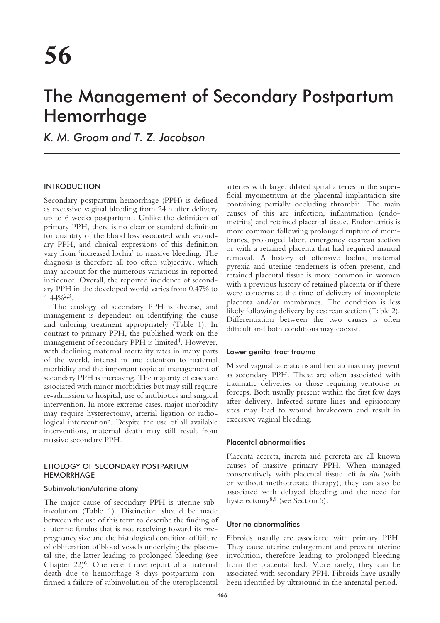# The Management of Secondary Postpartum Hemorrhage

*K. M. Groom and T. Z. Jacobson*

## INTRODUCTION

Secondary postpartum hemorrhage (PPH) is defined as excessive vaginal bleeding from 24 h after delivery up to 6 weeks postpartum<sup>1</sup>. Unlike the definition of primary PPH, there is no clear or standard definition for quantity of the blood loss associated with secondary PPH, and clinical expressions of this definition vary from 'increased lochia' to massive bleeding. The diagnosis is therefore all too often subjective, which may account for the numerous variations in reported incidence. Overall, the reported incidence of secondary PPH in the developed world varies from 0.47% to  $1.44\%^{2,3}$ .

The etiology of secondary PPH is diverse, and management is dependent on identifying the cause and tailoring treatment appropriately (Table 1). In contrast to primary PPH, the published work on the management of secondary PPH is limited<sup>4</sup>. However, with declining maternal mortality rates in many parts of the world, interest in and attention to maternal morbidity and the important topic of management of secondary PPH is increasing. The majority of cases are associated with minor morbidities but may still require re-admission to hospital, use of antibiotics and surgical intervention. In more extreme cases, major morbidity may require hysterectomy, arterial ligation or radiological intervention<sup>5</sup>. Despite the use of all available interventions, maternal death may still result from massive secondary PPH.

# ETIOLOGY OF SECONDARY POSTPARTUM **HEMORRHAGE**

## Subinvolution/uterine atony

The major cause of secondary PPH is uterine subinvolution (Table 1). Distinction should be made between the use of this term to describe the finding of a uterine fundus that is not resolving toward its prepregnancy size and the histological condition of failure of obliteration of blood vessels underlying the placental site, the latter leading to prolonged bleeding (see Chapter  $22)^6$ . One recent case report of a maternal death due to hemorrhage 8 days postpartum confirmed a failure of subinvolution of the uteroplacental arteries with large, dilated spiral arteries in the superficial myometrium at the placental implantation site containing partially occluding thrombi7. The main causes of this are infection, inflammation (endometritis) and retained placental tissue. Endometritis is more common following prolonged rupture of membranes, prolonged labor, emergency cesarean section or with a retained placenta that had required manual removal. A history of offensive lochia, maternal pyrexia and uterine tenderness is often present, and retained placental tissue is more common in women with a previous history of retained placenta or if there were concerns at the time of delivery of incomplete placenta and/or membranes. The condition is less likely following delivery by cesarean section (Table 2). Differentiation between the two causes is often difficult and both conditions may coexist.

## Lower genital tract trauma

Missed vaginal lacerations and hematomas may present as secondary PPH. These are often associated with traumatic deliveries or those requiring ventouse or forceps. Both usually present within the first few days after delivery. Infected suture lines and episiotomy sites may lead to wound breakdown and result in excessive vaginal bleeding.

## Placental abnormalities

Placenta accreta, increta and percreta are all known causes of massive primary PPH. When managed conservatively with placental tissue left *in situ* (with or without methotrexate therapy), they can also be associated with delayed bleeding and the need for hysterectomy8,9 (see Section 5).

## Uterine abnormalities

Fibroids usually are associated with primary PPH. They cause uterine enlargement and prevent uterine involution, therefore leading to prolonged bleeding from the placental bed. More rarely, they can be associated with secondary PPH. Fibroids have usually been identified by ultrasound in the antenatal period.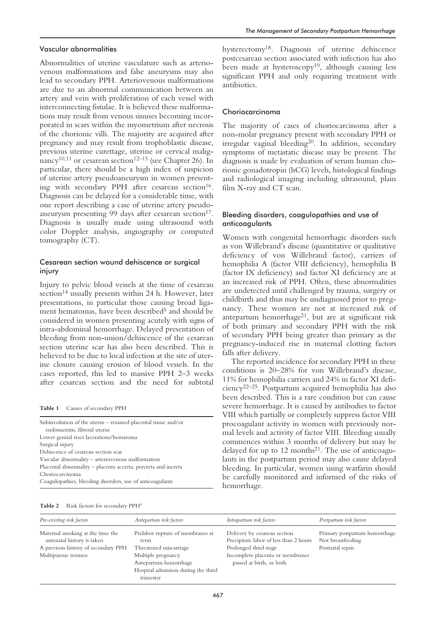#### Vascular abnormalities

Abnormalities of uterine vasculature such as arteriovenous malformations and false aneurysms may also lead to secondary PPH. Arteriovenous malformations are due to an abnormal communication between an artery and vein with proliferation of each vessel with interconnecting fistulae. It is believed these malformations may result from venous sinuses becoming incorporated in scars within the myometrium after necrosis of the chorionic villi. The majority are acquired after pregnancy and may result from trophoblastic disease, previous uterine curettage, uterine or cervical malignancy<sup>10,11</sup> or cesarean section<sup>12–15</sup> (see Chapter 26). In particular, there should be a high index of suspicion of uterine artery pseudoaneurysm in women presenting with secondary PPH after cesarean section<sup>16</sup>. Diagnosis can be delayed for a considerable time, with one report describing a case of uterine artery pseudoaneurysm presenting 99 days after cesarean section<sup>17</sup>. Diagnosis is usually made using ultrasound with color Doppler analysis, angiography or computed tomography (CT).

## Cesarean section wound dehiscence or surgical injury

Injury to pelvic blood vessels at the time of cesarean section<sup>14</sup> usually presents within 24 h. However, later presentations, in particular those causing broad ligament hematomas, have been described<sup>5</sup> and should be considered in women presenting acutely with signs of intra-abdominal hemorrhage. Delayed presentation of bleeding from non-union/dehiscence of the cesarean section uterine scar has also been described. This is believed to be due to local infection at the site of uterine closure causing erosion of blood vessels. In the cases reported, this led to massive PPH 2–3 weeks after cesarean section and the need for subtotal

**Table 1** Causes of secondary PPH

| Subinvolution of the uterus – retained placental tissue and/or<br>endometritis, fibroid uterus |
|------------------------------------------------------------------------------------------------|
| Lower genital tract lacerations/hematoma                                                       |
| Surgical injury                                                                                |
| Dehiscence of cesarean section scar                                                            |
| Vascular abnormality - arteriovenous malformation                                              |
| Placental abnormality – placenta accreta, percreta and increta                                 |
| Choriocarcinoma                                                                                |
| Coagulopathies, bleeding disorders, use of anticoagulants                                      |

hysterectomy18. Diagnosis of uterine dehiscence postcesarean section associated with infection has also been made at hysteroscopy<sup>19</sup>, although causing less significant PPH and only requiring treatment with antibiotics.

#### Choriocarcinoma

The majority of cases of choriocarcinoma after a non-molar pregnancy present with secondary PPH or irregular vaginal bleeding<sup>20</sup>. In addition, secondary symptoms of metastatic disease may be present. The diagnosis is made by evaluation of serum human chorionic gonadotropin (hCG) levels, histological findings and radiological imaging including ultrasound, plain film X-ray and CT scan.

## Bleeding disorders, coagulopathies and use of anticoagulants

Women with congenital hemorrhagic disorders such as von Willebrand's disease (quantitative or qualitative deficiency of von Willebrand factor), carriers of hemophilia A (factor VIII deficiency), hemophilia B (factor IX deficiency) and factor XI deficiency are at an increased risk of PPH. Often, these abnormalities are undetected until challenged by trauma, surgery or childbirth and thus may be undiagnosed prior to pregnancy. These women are not at increased risk of antepartum hemorrhage<sup>21</sup>, but are at significant risk of both primary and secondary PPH with the risk of secondary PPH being greater than primary as the pregnancy-induced rise in maternal clotting factors falls after delivery.

The reported incidence for secondary PPH in these conditions is 20–28% for von Willebrand's disease, 11% for hemophilia carriers and 24% in factor XI deficiency22–25. Postpartum acquired hemophilia has also been described. This is a rare condition but can cause severe hemorrhage. It is caused by antibodies to factor VIII which partially or completely suppress factor VIII procoagulant activity in women with previously normal levels and activity of factor VIII. Bleeding usually commences within 3 months of delivery but may be delayed for up to  $12$  months<sup>21</sup>. The use of anticoagulants in the postpartum period may also cause delayed bleeding. In particular, women using warfarin should be carefully monitored and informed of the risks of hemorrhage.

| Table 2 |  |  |  | Risk factors for secondary PPH <sup>4</sup> |  |
|---------|--|--|--|---------------------------------------------|--|
|---------|--|--|--|---------------------------------------------|--|

| Pre-existing risk factors                                      | Antepartum risk factors                                                                         | Intrapartum risk factors                                               | Postpartum risk factors                            |
|----------------------------------------------------------------|-------------------------------------------------------------------------------------------------|------------------------------------------------------------------------|----------------------------------------------------|
| Maternal smoking at the time the<br>antenatal history is taken | Prelabor rupture of membranes at<br>term                                                        | Delivery by cesarean section<br>Precipitate labor of less than 2 hours | Primary postpartum hemorrhage<br>Not breastfeeding |
| A previous history of secondary PPH                            | Threatened miscarriage                                                                          | Prolonged third stage                                                  | Postnatal sepsis                                   |
| Multiparous women                                              | Multiple pregnancy<br>Antepartum hemorrhage<br>Hospital admission during the third<br>trimester | Incomplete placenta or membranes<br>passed at birth, or both           |                                                    |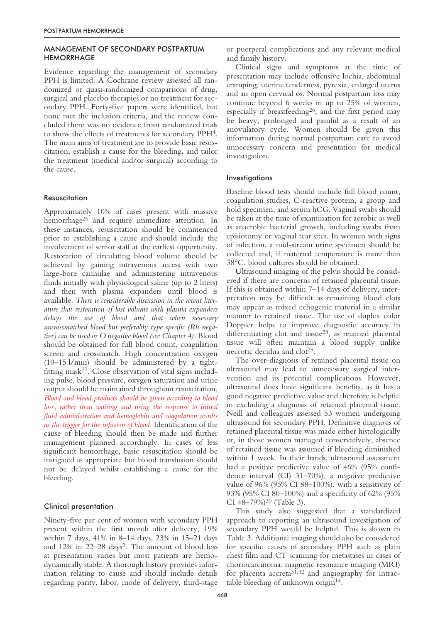## MANAGEMENT OF SECONDARY POSTPARTUM **HEMORRHAGE**

Evidence regarding the management of secondary PPH is limited. A Cochrane review assessed all randomized or quasi-randomized comparisons of drug, surgical and placebo therapies or no treatment for secondary PPH. Forty-five papers were identified, but none met the inclusion criteria, and the review concluded there was no evidence from randomized trials to show the effects of treatments for secondary PPH4. The main aims of treatment are to provide basic resuscitation, establish a cause for the bleeding, and tailor the treatment (medical and/or surgical) according to the cause.

## **Resuscitation**

Approximately 10% of cases present with massive hemorrhage<sup>26</sup> and require immediate attention. In these instances, resuscitation should be commenced prior to establishing a cause and should include the involvement of senior staff at the earliest opportunity. Restoration of circulating blood volume should be achieved by gaining intravenous access with two large-bore cannulae and administering intravenous fluids initially with physiological saline (up to 2 liters) and then with plasma expanders until blood is available. *There is considerable discussion in the recent literature that restoration of lost volume with plasma expanders delays the use of blood and that when necessary uncrossmatched blood but preferably type specific (Rh negative) can be used or O negative blood (see Chapter 4).* Blood should be obtained for full blood count, coagulation screen and crossmatch. High concentration oxygen (10–15 l/min) should be administered by a tightfitting mask<sup>27</sup>. Close observation of vital signs including pulse, blood pressure, oxygen saturation and urine output should be maintained throughout resuscitation. *Blood and blood products should be given according to blood loss, rather than waiting and using the response to initial fluid administration and hemoglobin and coagulation results as the trigger for the infusion of blood*. Identification of the cause of bleeding should then be made and further management planned accordingly. In cases of less significant hemorrhage, basic resuscitation should be instigated as appropriate but blood transfusion should not be delayed whilst establishing a cause for the bleeding.

#### Clinical presentation

Ninety-five per cent of women with secondary PPH present within the first month after delivery, 19% within 7 days, 41% in 8–14 days, 23% in 15–21 days and 12% in 22–28 days2. The amount of blood loss at presentation varies but most patients are hemodynamically stable. A thorough history provides information relating to cause and should include details regarding parity, labor, mode of delivery, third-stage

or puerperal complications and any relevant medical and family history.

Clinical signs and symptoms at the time of presentation may include offensive lochia, abdominal cramping, uterine tenderness, pyrexia, enlarged uterus and an open cervical os. Normal postpartum loss may continue beyond 6 weeks in up to 25% of women, especially if breastfeeding26, and the first period may be heavy, prolonged and painful as a result of an anovulatory cycle. Women should be given this information during normal postpartum care to avoid unnecessary concern and presentation for medical investigation.

#### Investigations

Baseline blood tests should include full blood count, coagulation studies, C-reactive protein, a group and hold specimen, and serum hCG. Vaginal swabs should be taken at the time of examination for aerobic as well as anaerobic bacterial growth, including swabs from episiotomy or vaginal tear sites. In women with signs of infection, a mid-stream urine specimen should be collected and, if maternal temperature is more than 38°C, blood cultures should be obtained.

Ultrasound imaging of the pelvis should be considered if there are concerns of retained placental tissue. If this is obtained within 7–14 days of delivery, interpretation may be difficult as remaining blood clots may appear as mixed echogenic material in a similar manner to retained tissue. The use of duplex color Doppler helps to improve diagnostic accuracy in differentiating clot and tissue28, as retained placental tissue will often maintain a blood supply unlike necrotic decidua and clot<sup>29</sup>.

The over-diagnosis of retained placental tissue on ultrasound may lead to unnecessary surgical intervention and its potential complications. However, ultrasound does have significant benefits, as it has a good negative predictive value and therefore is helpful in excluding a diagnosis of retained placental tissue. Neill and colleagues assessed 53 women undergoing ultrasound for secondary PPH. Definitive diagnosis of retained placental tissue was made either histologically or, in those women managed conservatively, absence of retained tissue was assumed if bleeding diminished within 1 week. In their hands, ultrasound assessment had a positive predictive value of 46% (95% confidence interval (CI) 31–70%), a negative predictive value of 96% (95% CI 88–100%), with a sensitivity of 93% (95% CI 80–100%) and a specificity of 62% (95% CI  $48-79\%$ <sup>30</sup> (Table 3).

This study also suggested that a standardized approach to reporting an ultrasound investigation of secondary PPH would be helpful. This is shown in Table 3. Additional imaging should also be considered for specific causes of secondary PPH such as plain chest film and CT scanning for metastases in cases of choriocarcinoma, magnetic resonance imaging (MRI) for placenta  $\arccos(31,32)$  and angiography for intractable bleeding of unknown origin<sup>14</sup>.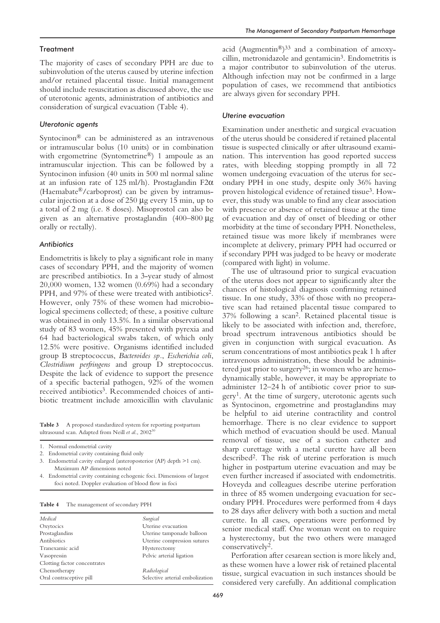#### **Treatment**

The majority of cases of secondary PPH are due to subinvolution of the uterus caused by uterine infection and/or retained placental tissue. Initial management should include resuscitation as discussed above, the use of uterotonic agents, administration of antibiotics and consideration of surgical evacuation (Table 4).

# *Uterotonic agents*

Syntocinon® can be administered as an intravenous or intramuscular bolus (10 units) or in combination with ergometrine (Syntometrine®) 1 ampoule as an intramuscular injection. This can be followed by a Syntocinon infusion (40 units in 500 ml normal saline at an infusion rate of 125 ml/h). Prostaglandin F2α (Haemabate®/carboprost) can be given by intramuscular injection at a dose of 250 µg every 15 min, up to a total of 2 mg (i.e. 8 doses). Misoprostol can also be given as an alternative prostaglandin (400–800 µg orally or rectally).

#### *Antibiotics*

Endometritis is likely to play a significant role in many cases of secondary PPH, and the majority of women are prescribed antibiotics. In a 3-year study of almost 20,000 women, 132 women (0.69%) had a secondary PPH, and 97% of these were treated with antibiotics<sup>2</sup>. However, only 75% of these women had microbiological specimens collected; of these, a positive culture was obtained in only 13.5%. In a similar observational study of 83 women, 45% presented with pyrexia and 64 had bacteriological swabs taken, of which only 12.5% were positive. Organisms identified included group B streptococcus, *Bacteroides sp.*, *Escherichia coli*, *Clostridium perfringens* and group D streptococcus. Despite the lack of evidence to support the presence of a specific bacterial pathogen, 92% of the women received antibiotics<sup>3</sup>. Recommended choices of antibiotic treatment include amoxicillin with clavulanic

**Table 3** A proposed standardized system for reporting postpartum ultrasound scan. Adapted from Neill et al., 2002<sup>30</sup>

- 1. Normal endometrial cavity
- 2. Endometrial cavity containing fluid only

3. Endometrial cavity enlarged (anteroposterior (AP) depth >1 cm). Maximum AP dimensions noted

4. Endometrial cavity containing echogenic foci. Dimensions of largest foci noted. Doppler evaluation of blood flow in foci

**Table 4** The management of secondary PPH

| Medical                      | Surgical                        |  |  |
|------------------------------|---------------------------------|--|--|
| Oxytocics                    | Uterine evacuation              |  |  |
| Prostaglandins               | Uterine tamponade balloon       |  |  |
| Antibiotics                  | Uterine compression sutures     |  |  |
| Tranexamic acid              | Hysterectomy                    |  |  |
| Vasopressin                  | Pelvic arterial ligation        |  |  |
| Clotting factor concentrates |                                 |  |  |
| Chemotherapy                 | Radiological                    |  |  |
| Oral contraceptive pill      | Selective arterial embolization |  |  |
|                              |                                 |  |  |

acid (Augmentin®)<sup>33</sup> and a combination of amoxycillin, metronidazole and gentamicin<sup>3</sup>. Endometritis is a major contributor to subinvolution of the uterus. Although infection may not be confirmed in a large population of cases, we recommend that antibiotics are always given for secondary PPH.

#### *Uterine evacuation*

Examination under anesthetic and surgical evacuation of the uterus should be considered if retained placental tissue is suspected clinically or after ultrasound examination. This intervention has good reported success rates, with bleeding stopping promptly in all 72 women undergoing evacuation of the uterus for secondary PPH in one study, despite only 36% having proven histological evidence of retained tissue3. However, this study was unable to find any clear association with presence or absence of retained tissue at the time of evacuation and day of onset of bleeding or other morbidity at the time of secondary PPH. Nonetheless, retained tissue was more likely if membranes were incomplete at delivery, primary PPH had occurred or if secondary PPH was judged to be heavy or moderate (compared with light) in volume.

The use of ultrasound prior to surgical evacuation of the uterus does not appear to significantly alter the chances of histological diagnosis confirming retained tissue. In one study, 33% of those with no preoperative scan had retained placental tissue compared to 37% following a scan2. Retained placental tissue is likely to be associated with infection and, therefore, broad spectrum intravenous antibiotics should be given in conjunction with surgical evacuation. As serum concentrations of most antibiotics peak 1 h after intravenous administration, these should be administered just prior to surgery<sup>26</sup>; in women who are hemodynamically stable, however, it may be appropriate to administer 12–24 h of antibiotic cover prior to sur $g$ ery<sup>1</sup>. At the time of surgery, uterotonic agents such as Syntocinon, ergometrine and prostaglandins may be helpful to aid uterine contractility and control hemorrhage. There is no clear evidence to support which method of evacuation should be used. Manual removal of tissue, use of a suction catheter and sharp curettage with a metal curette have all been described2. The risk of uterine perforation is much higher in postpartum uterine evacuation and may be even further increased if associated with endometritis. Hoveyda and colleagues describe uterine perforation in three of 85 women undergoing evacuation for secondary PPH. Procedures were performed from 4 days to 28 days after delivery with both a suction and metal curette. In all cases, operations were performed by senior medical staff. One woman went on to require a hysterectomy, but the two others were managed conservatively2.

Perforation after cesarean section is more likely and, as these women have a lower risk of retained placental tissue, surgical evacuation in such instances should be considered very carefully. An additional complication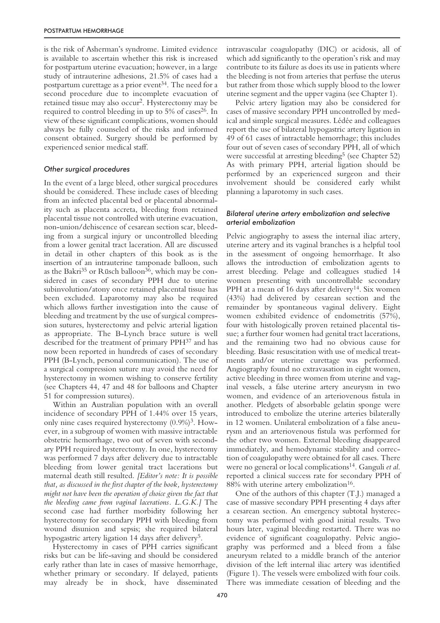is the risk of Asherman's syndrome. Limited evidence is available to ascertain whether this risk is increased for postpartum uterine evacuation; however, in a large study of intrauterine adhesions, 21.5% of cases had a postpartum curettage as a prior event<sup>34</sup>. The need for a second procedure due to incomplete evacuation of retained tissue may also occur2. Hysterectomy may be required to control bleeding in up to  $5\%$  of cases<sup>26</sup>. In view of these significant complications, women should always be fully counseled of the risks and informed consent obtained. Surgery should be performed by experienced senior medical staff.

## *Other surgical procedures*

In the event of a large bleed, other surgical procedures should be considered. These include cases of bleeding from an infected placental bed or placental abnormality such as placenta accreta, bleeding from retained placental tissue not controlled with uterine evacuation, non-union/dehiscence of cesarean section scar, bleeding from a surgical injury or uncontrolled bleeding from a lower genital tract laceration. All are discussed in detail in other chapters of this book as is the insertion of an intrauterine tamponade balloon, such as the Bakri<sup>35</sup> or Rüsch balloon<sup>36</sup>, which may be considered in cases of secondary PPH due to uterine subinvolution/atony once retained placental tissue has been excluded. Laparotomy may also be required which allows further investigation into the cause of bleeding and treatment by the use of surgical compression sutures, hysterectomy and pelvic arterial ligation as appropriate. The B-Lynch brace suture is well described for the treatment of primary PPH37 and has now been reported in hundreds of cases of secondary PPH (B-Lynch, personal communication). The use of a surgical compression suture may avoid the need for hysterectomy in women wishing to conserve fertility (see Chapters 44, 47 and 48 for balloons and Chapter 51 for compression sutures).

Within an Australian population with an overall incidence of secondary PPH of 1.44% over 15 years, only nine cases required hysterectomy  $(0.9\%)^3$ . However, in a subgroup of women with massive intractable obstetric hemorrhage, two out of seven with secondary PPH required hysterectomy. In one, hysterectomy was performed 7 days after delivery due to intractable bleeding from lower genital tract lacerations but maternal death still resulted. *[Editor's note: It is possible that, as discussed in the first chapter of the book, hysterectomy might not have been the operation of choice given the fact that the bleeding came from vaginal lacerations. L.G.K.]* The second case had further morbidity following her hysterectomy for secondary PPH with bleeding from wound disunion and sepsis; she required bilateral hypogastric artery ligation 14 days after delivery<sup>5</sup>.

Hysterectomy in cases of PPH carries significant risks but can be life-saving and should be considered early rather than late in cases of massive hemorrhage, whether primary or secondary. If delayed, patients may already be in shock, have disseminated intravascular coagulopathy (DIC) or acidosis, all of which add significantly to the operation's risk and may contribute to its failure as does its use in patients where the bleeding is not from arteries that perfuse the uterus but rather from those which supply blood to the lower uterine segment and the upper vagina (see Chapter 1).

Pelvic artery ligation may also be considered for cases of massive secondary PPH uncontrolled by medical and simple surgical measures. Lédée and colleagues report the use of bilateral hypogastric artery ligation in 49 of 61 cases of intractable hemorrhage; this includes four out of seven cases of secondary PPH, all of which were successful at arresting bleeding<sup>5</sup> (see Chapter 52) As with primary PPH, arterial ligation should be performed by an experienced surgeon and their involvement should be considered early whilst planning a laparotomy in such cases.

## *Bilateral uterine artery embolization and selective arterial embolization*

Pelvic angiography to assess the internal iliac artery, uterine artery and its vaginal branches is a helpful tool in the assessment of ongoing hemorrhage. It also allows the introduction of embolization agents to arrest bleeding. Pelage and colleagues studied 14 women presenting with uncontrollable secondary PPH at a mean of 16 days after delivery<sup>14</sup>. Six women (43%) had delivered by cesarean section and the remainder by spontaneous vaginal delivery. Eight women exhibited evidence of endometritis (57%), four with histologically proven retained placental tissue; a further four women had genital tract lacerations, and the remaining two had no obvious cause for bleeding. Basic resuscitation with use of medical treatments and/or uterine curettage was performed. Angiography found no extravasation in eight women, active bleeding in three women from uterine and vaginal vessels, a false uterine artery aneurysm in two women, and evidence of an arteriovenous fistula in another. Pledgets of absorbable gelatin sponge were introduced to embolize the uterine arteries bilaterally in 12 women. Unilateral embolization of a false aneurysm and an arteriovenous fistula was performed for the other two women. External bleeding disappeared immediately, and hemodynamic stability and correction of coagulopathy were obtained for all cases. There were no general or local complications14. Ganguli *et al*. reported a clinical success rate for secondary PPH of 88% with uterine artery embolization<sup>16</sup>.

One of the authors of this chapter (T.J.) managed a case of massive secondary PPH presenting 4 days after a cesarean section. An emergency subtotal hysterectomy was performed with good initial results. Two hours later, vaginal bleeding restarted. There was no evidence of significant coagulopathy. Pelvic angiography was performed and a bleed from a false aneurysm related to a middle branch of the anterior division of the left internal iliac artery was identified (Figure 1). The vessels were embolized with four coils. There was immediate cessation of bleeding and the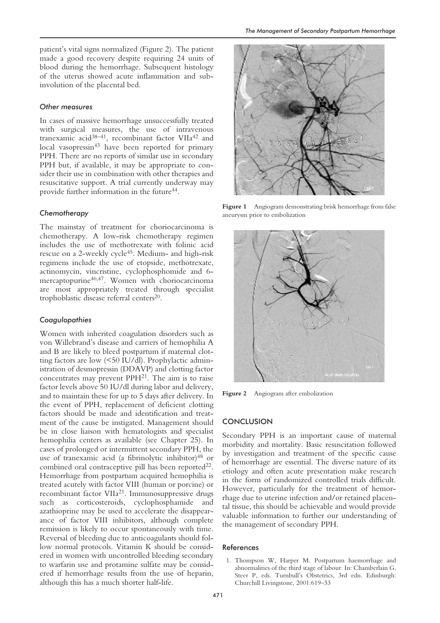patient's vital signs normalized (Figure 2). The patient made a good recovery despite requiring 24 units of blood during the hemorrhage. Subsequent histology of the uterus showed acute inflammation and subinvolution of the placental bed.

#### *Other measures*

In cases of massive hemorrhage unsuccessfully treated with surgical measures, the use of intravenous tranexamic acid38–41, recombinant factor VIIa42 and local vasopressin<sup>43</sup> have been reported for primary PPH. There are no reports of similar use in secondary PPH but, if available, it may be appropriate to consider their use in combination with other therapies and resuscitative support. A trial currently underway may provide further information in the future<sup>44</sup>.

#### *Chemotherapy*

The mainstay of treatment for choriocarcinoma is chemotherapy. A low-risk chemotherapy regimen includes the use of methotrexate with folinic acid rescue on a 2-weekly cycle<sup>45</sup>. Medium- and high-risk regimens include the use of etopside, methotrexate, actinomycin, vincristine, cyclophosphomide and 6 mercaptopurine<sup>46,47</sup>. Women with choriocarcinoma are most appropriately treated through specialist trophoblastic disease referral centers<sup>20</sup>.

#### *Coagulopathies*

Women with inherited coagulation disorders such as von Willebrand's disease and carriers of hemophilia A and B are likely to bleed postpartum if maternal clotting factors are low (<50 IU/dl). Prophylactic administration of desmopressin (DDAVP) and clotting factor concentrates may prevent PPH21. The aim is to raise factor levels above 50 IU/dl during labor and delivery, and to maintain these for up to 5 days after delivery. In the event of PPH, replacement of deficient clotting factors should be made and identification and treatment of the cause be instigated. Management should be in close liaison with hematologists and specialist hemophilia centers as available (see Chapter 25). In cases of prolonged or intermittent secondary PPH, the use of tranexamic acid (a fibrinolytic inhibitor)<sup>48</sup> or combined oral contraceptive pill has been reported $^{22}$ . Hemorrhage from postpartum acquired hemophilia is treated acutely with factor VIII (human or porcine) or recombinant factor VIIa21. Immunosuppressive drugs such as corticosteroids, cyclophosphamide and azathioprine may be used to accelerate the disappearance of factor VIII inhibitors, although complete remission is likely to occur spontaneously with time. Reversal of bleeding due to anticoagulants should follow normal protocols. Vitamin K should be considered in women with uncontrolled bleeding secondary to warfarin use and protamine sulfate may be considered if hemorrhage results from the use of heparin, although this has a much shorter half-life.



Figure 1 Angiogram demonstrating brisk hemorrhage from false aneurysm prior to embolization



**Figure 2** Angiogram after embolization

#### **CONCLUSION**

Secondary PPH is an important cause of maternal morbidity and mortality. Basic resuscitation followed by investigation and treatment of the specific cause of hemorrhage are essential. The diverse nature of its etiology and often acute presentation make research in the form of randomized controlled trials difficult. However, particularly for the treatment of hemorrhage due to uterine infection and/or retained placental tissue, this should be achievable and would provide valuable information to further our understanding of the management of secondary PPH.

#### References

1. Thompson W, Harper M. Postpartum haemorrhage and abnormalities of the third stage of labour. In: Chamberlain G, Steer P, eds. Turnbull's Obstetrics, 3rd edn. Edinburgh: Churchill Livingstone, 2001:619–33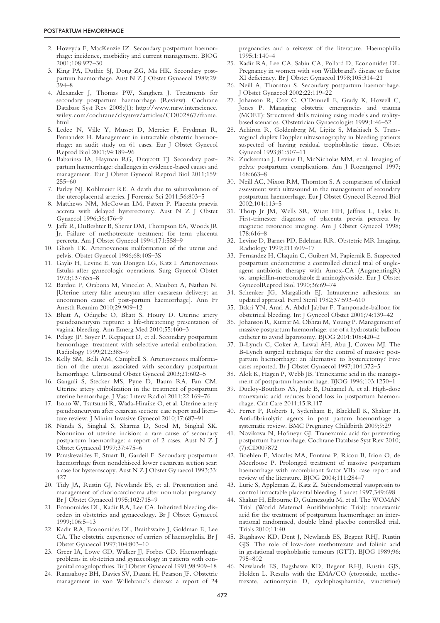- 2. Hoveyda F, MacKenzie IZ. Secondary postpartum haemorrhage: incidence, morbidity and current management. BJOG 2001;108:927–30
- 3. King PA, Duthie SJ, Dong ZG, Ma HK. Secondary postpartum haemorrhage. Aust N Z J Obstet Gynaecol 1989;29: 394–8
- 4. Alexander J, Thomas PW, Sanghera J. Treatments for secondary postpartum haemorrhage (Review). Cochrane Database Syst Rev 2008;(1): http://www.mrw.interscience. wiley.com/cochrane/clsysrev/articles/CD002867/frame. html
- 5. Ledee N, Ville Y, Musset D, Mercier F, Frydman R, Fernandez H. Management in intractable obstetric haemorrhage: an audit study on 61 cases. Eur J Obstet Gynecol Reprod Biol 2001;94:189–96
- 6. Babarinsa IA, Hayman RG, Draycott TJ. Secondary postpartum haemorrhage: challenges in evidence-based causes and management. Eur J Obstet Gynecol Reprod Biol 2011;159: 255–60
- 7. Farley NJ. Kohlmeier RE. A death due to subinvolution of the uteroplacental arteries. J Forensic Sci 2011;56:803–5
- 8. Matthews NM, McCowan LM, Patten P. Placenta praevia accreta with delayed hysterectomy. Aust N Z J Obstet Gynaecol 1996;36:476–9
- 9. Jaffe R, DuBeshter B, Sherer DM, Thompson EA, Woods JR Jr. Failure of methotrexate treatment for term placenta percreta. Am J Obstet Gynecol 1994;171:558–9
- 10. Ghosh TK. Arteriovenous malformation of the uterus and pelvis. Obstet Gynecol 1986;68:40S–3S
- 11. Gaylis H, Levine E, van Dongen LG, Katz I. Arteriovenous fistulas after gynecologic operations. Surg Gynecol Obstet 1973;137:655–8
- 12. Bardou P, Orabona M, Vincelot A, Maubon A, Nathan N. [Uterine artery false aneurysm after caesarean delivery: an uncommon cause of post-partum haemorrhage]. Ann Fr Anesth Reanim 2010;29:909–12
- 13. Bhatt A, Odujebe O, Bhatt S, Houry D. Uterine artery pseudoaneurysm rupture: a life-threatening presentation of vaginal bleeding. Ann Emerg Med 2010;55:460–3
- 14. Pelage JP, Soyer P, Repiquet D, et al. Secondary postpartum hemorrhage: treatment with selective arterial embolization. Radiology 1999;212:385–9
- 15. Kelly SM, Belli AM, Campbell S. Arteriovenous malformation of the uterus associated with secondary postpartum hemorrhage. Ultrasound Obstet Gynecol 2003;21:602–5
- 16. Ganguli S, Stecker MS, Pyne D, Baum RA, Fan CM. Uterine artery embolization in the treatment of postpartum uterine hemorrhage. J Vasc Interv Radiol 2011;22:169–76
- 17. Isono W, Tsutsumi R, Wada-Hiraike O, et al. Uterine artery pseudoaneurysm after cesarean section: case report and literature review. J Minim Invasive Gynecol 2010;17:687–91
- 18. Nanda S, Singhal S, Sharma D, Sood M, Singhal SK. Nonunion of uterine incision: a rare cause of secondary postpartum haemorrhage: a report of 2 cases. Aust N Z J Obstet Gynaecol 1997;37:475–6
- 19. Paraskevaides E, Stuart B, Gardeil F. Secondary postpartum haemorrhage from nondehisced lower caesarean section scar: a case for hysteroscopy. Aust N Z J Obstet Gynaecol 1993;33: 427
- 20. Tidy JA, Rustin GJ, Newlands ES, et al. Presentation and management of choriocarcinoma after nonmolar pregnancy. Br J Obstet Gynaecol 1995;102:715–9
- 21. Economides DL, Kadir RA, Lee CA. Inherited bleeding disorders in obstetrics and gynaecology. Br J Obstet Gynaecol 1999;106:5–13
- 22. Kadir RA, Economides DL, Braithwaite J, Goldman E, Lee CA. The obstetric experience of carriers of haemophilia. Br J Obstet Gynaecol 1997;104:803–10
- 23. Greer IA, Lowe GD, Walker JJ, Forbes CD. Haemorrhagic problems in obstetrics and gynaecology in patients with congenital coagulopathies. Br J Obstet Gynaecol 1991;98:909–18
- 24. Ramsahoye BH, Davies SV, Dasani H, Pearson JF. Obstetric management in von Willebrand's disease: a report of 24

pregnancies and a reivesw of the literature. Haemophilia 1995;1:140–4

- 25. Kadir RA, Lee CA, Sabin CA, Pollard D, Economides DL. Pregnancy in women with von Willebrand's disease or factor XI deficiency. Br J Obstet Gynaecol 1998;105:314–21
- 26. Neill A, Thornton S. Secondary postpartum haemorrhage. J Obstet Gynaecol 2002;22:119–22
- 27. Johanson R, Cox C, O'Donnell E, Grady K, Howell C, Jones P. Managing obstetric emergencies and trauma (MOET): Structured skills training using models and realitybased scenarios. Obstetrician Gynaecologist 1999;1:46–52
- 28. Achiron R, Goldenberg M, Lipitz S, Mashiach S. Transvaginal duplex Doppler ultrasonography in bleeding patients suspected of having residual trophoblastic tissue. Obstet Gynecol 1993;81:507–11
- 29. Zuckerman J, Levine D, McNicholas MM, et al. Imaging of pelvic postpartum complications. Am J Roentgenol 1997; 168:663–8
- 30. Neill AC, Nixon RM, Thornton S. A comparison of clinical assessment with ultrasound in the management of secondary postpartum haemorrhage. Eur J Obstet Gynecol Reprod Biol 2002;104:113–5
- 31. Thorp Jr JM, Wells SR, Wiest HH, Jeffries L, Lyles E. First-trimester diagnosis of placenta previa percreta by magnetic resonance imaging. Am J Obstet Gynecol 1998; 178:616–8
- 32. Levine D, Barnes PD, Edelman RR. Obstetric MR Imaging. Radiology 1999;211:609–17
- 33. Fernandez H, Claquin C, Guibert M, Papiernik E. Suspected postpartum endometritis: a controlled clinical trial of singleagent antibiotic therapy with Amox-CA (AugmentingR) vs. ampicillin-metronidazole ± aminoglycoside. Eur J Obstet GynecolReprod Biol 1990;36:69–74
- 34. Schenker JG, Margalioth EJ. Intrauterine adhesions: an updated appraisal. Fertil Steril 1982;37:593–610
- 35. Bakri YN, Amri A, Abdul Jabbar F. Tamponade-balloon for obstetrical bleeding. Int J Gynecol Obstet 2001;74:139–42
- 36. Johanson R, Kumar M, Obhrai M, Young P. Management of massive postpartum haemorrhage: use of a hydrostatic balloon catheter to avoid laparotomy. BJOG 2001;108:420–2
- 37. B-Lynch C, Coker A, Lawal AH, Abu J, Cowen MJ. The B-Lynch surgical technique for the control of massive postpartum haemorrhage: an alternative to hysterectomy? Five cases reported. Br J Obstet Gynaecol 1997;104:372–5
- 38. Alok K, Hagen P, Webb JB. Tranexamic acid in the management of postpartum haemorrhage. BJOG 1996;103:1250–1
- 39. Ducloy-Bouthors AS, Jude B, Duhamel A, et al. High-dose tranexamic acid reduces blood loss in postpartum haemorrhage. Crit Care 2011;15:R117
- 40. Ferrer P, Roberts I, Sydenham E, Blackhall K, Shakur H. Anti-fibrinolytic agents in post partum haemorrhage: a systematic review. BMC Pregnancy Childbirth 2009;9:29
- 41. Novikova N, Hofmeyr GJ. Tranexamic acid for preventing postpartum haemorrhage. Cochrane Database Syst Rev 2010; (7):CD007872
- 42. Boehlen F, Morales MA, Fontana P, Ricou B, Irion O, de Moerloose P. Prolonged treatment of massive postpartum haemorrhage with recombinant factor VIIa: case report and review of the literature. BJOG 2004;111:284–7
- 43. Lurie S, Appleman Z, Katz Z. Subendometrial vasopressin to control intractable placental bleeding. Lancet 1997;349:698
- 44. Shakur H, Elbourne D, Gulmezoglu M, et al. The WOMAN Trial (World Maternal Antifibrinolytic Trial): tranexamic acid for the treatment of postpartum haemorrhage: an international randomised, double blind placebo controlled trial. Trials 2010;11:40
- 45. Bagshawe KD, Dent J, Newlands ES, Begent RHJ, Rustin GJS. The role of low-dose methotrexate and folinic acid in gestational trophoblastic tumours (GTT). BJOG 1989;96: 795–802
- 46. Newlands ES, Bagshawe KD, Begent RHJ, Rustin GJS, Holden L. Results with the EMA/CO (etoposide, methotrexate, actinomycin D, cyclophosphamide, vincristine)